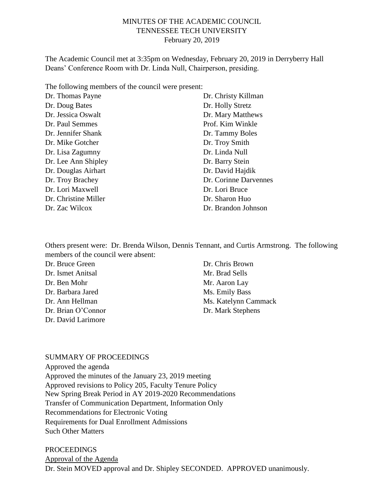### MINUTES OF THE ACADEMIC COUNCIL TENNESSEE TECH UNIVERSITY February 20, 2019

The Academic Council met at 3:35pm on Wednesday, February 20, 2019 in Derryberry Hall Deans' Conference Room with Dr. Linda Null, Chairperson, presiding.

The following members of the council were present:

| Dr. Thomas Payne     | Dr. Christy Killman   |
|----------------------|-----------------------|
| Dr. Doug Bates       | Dr. Holly Stretz      |
| Dr. Jessica Oswalt   | Dr. Mary Matthews     |
| Dr. Paul Semmes      | Prof. Kim Winkle      |
| Dr. Jennifer Shank   | Dr. Tammy Boles       |
| Dr. Mike Gotcher     | Dr. Troy Smith        |
| Dr. Lisa Zagumny     | Dr. Linda Null        |
| Dr. Lee Ann Shipley  | Dr. Barry Stein       |
| Dr. Douglas Airhart  | Dr. David Hajdik      |
| Dr. Troy Brachey     | Dr. Corinne Darvennes |
| Dr. Lori Maxwell     | Dr. Lori Bruce        |
| Dr. Christine Miller | Dr. Sharon Huo        |
| Dr. Zac Wilcox       | Dr. Brandon Johnson   |

Others present were: Dr. Brenda Wilson, Dennis Tennant, and Curtis Armstrong. The following members of the council were absent:

| Dr. Bruce Green    | Dr. Chris Brown      |
|--------------------|----------------------|
| Dr. Ismet Anitsal  | Mr. Brad Sells       |
| Dr. Ben Mohr       | Mr. Aaron Lay        |
| Dr. Barbara Jared  | Ms. Emily Bass       |
| Dr. Ann Hellman    | Ms. Katelynn Cammack |
| Dr. Brian O'Connor | Dr. Mark Stephens    |
| Dr. David Larimore |                      |

#### SUMMARY OF PROCEEDINGS

Approved the agenda Approved the minutes of the January 23, 2019 meeting Approved revisions to Policy 205, Faculty Tenure Policy New Spring Break Period in AY 2019-2020 Recommendations Transfer of Communication Department, Information Only Recommendations for Electronic Voting Requirements for Dual Enrollment Admissions Such Other Matters

PROCEEDINGS Approval of the Agenda Dr. Stein MOVED approval and Dr. Shipley SECONDED. APPROVED unanimously.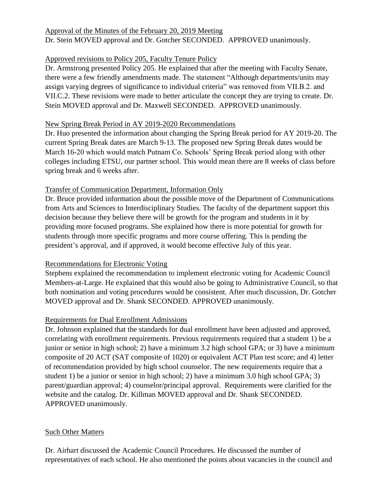# Approval of the Minutes of the February 20, 2019 Meeting Dr. Stein MOVED approval and Dr. Gotcher SECONDED. APPROVED unanimously.

# Approved revisions to Policy 205, Faculty Tenure Policy

Dr. Armstrong presented Policy 205. He explained that after the meeting with Faculty Senate, there were a few friendly amendments made. The statement "Although departments/units may assign varying degrees of significance to individual criteria" was removed from VII.B.2. and VII.C.2. These revisions were made to better articulate the concept they are trying to create. Dr. Stein MOVED approval and Dr. Maxwell SECONDED. APPROVED unanimously.

#### New Spring Break Period in AY 2019-2020 Recommendations

Dr. Huo presented the information about changing the Spring Break period for AY 2019-20. The current Spring Break dates are March 9-13. The proposed new Spring Break dates would be March 16-20 which would match Putnam Co. Schools' Spring Break period along with other colleges including ETSU, our partner school. This would mean there are 8 weeks of class before spring break and 6 weeks after.

# Transfer of Communication Department, Information Only

Dr. Bruce provided information about the possible move of the Department of Communications from Arts and Sciences to Interdisciplinary Studies. The faculty of the department support this decision because they believe there will be growth for the program and students in it by providing more focused programs. She explained how there is more potential for growth for students through more specific programs and more course offering. This is pending the president's approval, and if approved, it would become effective July of this year.

### Recommendations for Electronic Voting

Stephens explained the recommendation to implement electronic voting for Academic Council Members-at-Large. He explained that this would also be going to Administrative Council, so that both nomination and voting procedures would be consistent. After much discussion, Dr. Gotcher MOVED approval and Dr. Shank SECONDED. APPROVED unanimously.

### Requirements for Dual Enrollment Admissions

Dr. Johnson explained that the standards for dual enrollment have been adjusted and approved, correlating with enrollment requirements. Previous requirements required that a student 1) be a junior or senior in high school; 2) have a minimum 3.2 high school GPA; or 3) have a minimum composite of 20 ACT (SAT composite of 1020) or equivalent ACT Plan test score; and 4) letter of recommendation provided by high school counselor. The new requirements require that a student 1) be a junior or senior in high school; 2) have a minimum 3.0 high school GPA; 3) parent/guardian approval; 4) counselor/principal approval. Requirements were clarified for the website and the catalog. Dr. Killman MOVED approval and Dr. Shank SECONDED. APPROVED unanimously.

### Such Other Matters

Dr. Airhart discussed the Academic Council Procedures. He discussed the number of representatives of each school. He also mentioned the points about vacancies in the council and